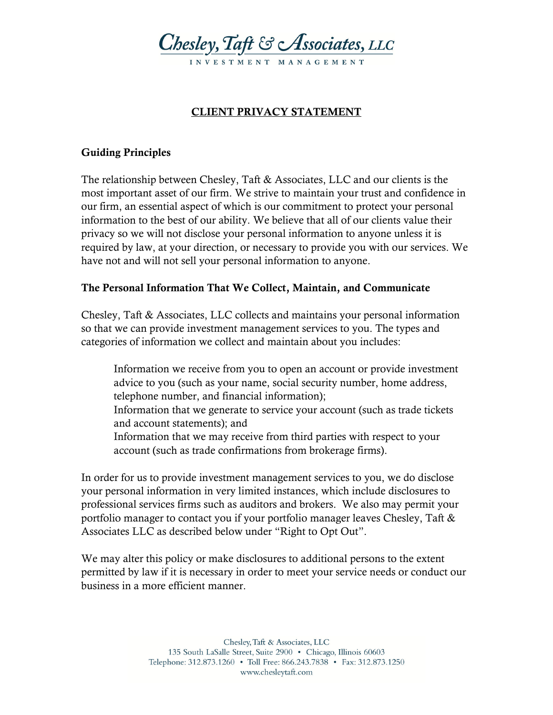

## **CLIENT PRIVACY STATEMENT**

### **Guiding Principles**

The relationship between Chesley, Taft & Associates, LLC and our clients is the most important asset of our firm. We strive to maintain your trust and confidence in our firm, an essential aspect of which is our commitment to protect your personal information to the best of our ability. We believe that all of our clients value their privacy so we will not disclose your personal information to anyone unless it is required by law, at your direction, or necessary to provide you with our services. We have not and will not sell your personal information to anyone.

#### **The Personal Information That We Collect, Maintain, and Communicate**

Chesley, Taft & Associates, LLC collects and maintains your personal information so that we can provide investment management services to you. The types and categories of information we collect and maintain about you includes:

 Information we receive from you to open an account or provide investment advice to you (such as your name, social security number, home address, telephone number, and financial information); Information that we generate to service your account (such as trade tickets and account statements); and Information that we may receive from third parties with respect to your account (such as trade confirmations from brokerage firms).

In order for us to provide investment management services to you, we do disclose your personal information in very limited instances, which include disclosures to professional services firms such as auditors and brokers. We also may permit your portfolio manager to contact you if your portfolio manager leaves Chesley, Taft & Associates LLC as described below under "Right to Opt Out".

We may alter this policy or make disclosures to additional persons to the extent permitted by law if it is necessary in order to meet your service needs or conduct our business in a more efficient manner.